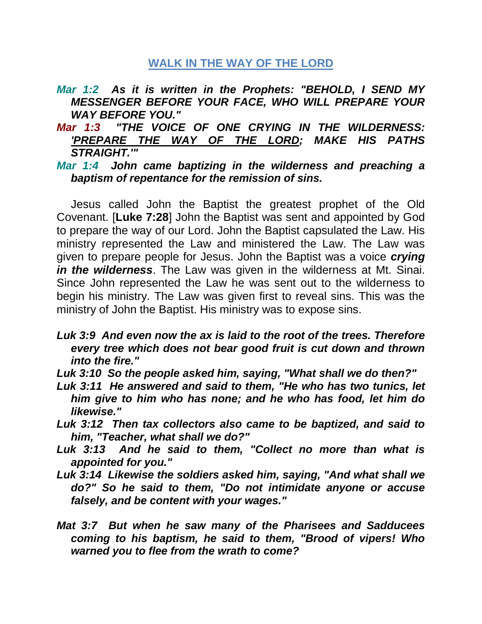# **WALK IN THE WAY OF THE LORD**

- *Mar 1:2 As it is written in the Prophets: "BEHOLD, I SEND MY MESSENGER BEFORE YOUR FACE, WHO WILL PREPARE YOUR WAY BEFORE YOU."*
- *Mar 1:3 "THE VOICE OF ONE CRYING IN THE WILDERNESS: 'PREPARE THE WAY OF THE LORD; MAKE HIS PATHS STRAIGHT.'"*

#### *Mar 1:4 John came baptizing in the wilderness and preaching a baptism of repentance for the remission of sins.*

Jesus called John the Baptist the greatest prophet of the Old Covenant. [**Luke 7:28**] John the Baptist was sent and appointed by God to prepare the way of our Lord. John the Baptist capsulated the Law. His ministry represented the Law and ministered the Law. The Law was given to prepare people for Jesus. John the Baptist was a voice *crying in the wilderness*. The Law was given in the wilderness at Mt. Sinai. Since John represented the Law he was sent out to the wilderness to begin his ministry. The Law was given first to reveal sins. This was the ministry of John the Baptist. His ministry was to expose sins.

*Luk 3:9 And even now the ax is laid to the root of the trees. Therefore every tree which does not bear good fruit is cut down and thrown into the fire."* 

- *Luk 3:10 So the people asked him, saying, "What shall we do then?"*
- *Luk 3:11 He answered and said to them, "He who has two tunics, let him give to him who has none; and he who has food, let him do likewise."*
- *Luk 3:12 Then tax collectors also came to be baptized, and said to him, "Teacher, what shall we do?"*
- *Luk 3:13 And he said to them, "Collect no more than what is appointed for you."*
- *Luk 3:14 Likewise the soldiers asked him, saying, "And what shall we do?" So he said to them, "Do not intimidate anyone or accuse falsely, and be content with your wages."*
- *Mat 3:7 But when he saw many of the Pharisees and Sadducees coming to his baptism, he said to them, "Brood of vipers! Who warned you to flee from the wrath to come?*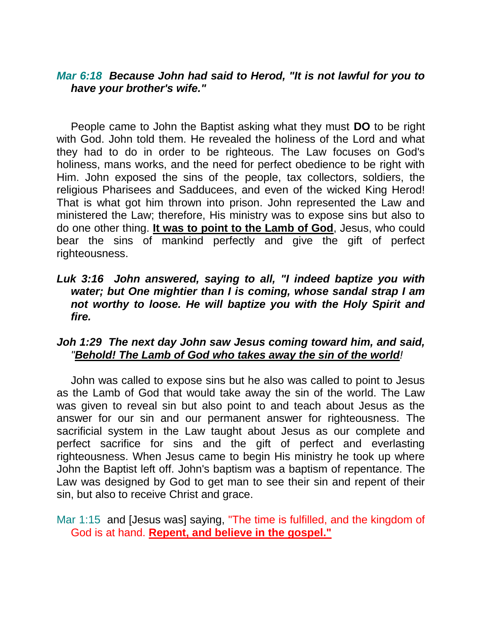#### *Mar 6:18 Because John had said to Herod, "It is not lawful for you to have your brother's wife."*

People came to John the Baptist asking what they must **DO** to be right with God. John told them. He revealed the holiness of the Lord and what they had to do in order to be righteous. The Law focuses on God's holiness, mans works, and the need for perfect obedience to be right with Him. John exposed the sins of the people, tax collectors, soldiers, the religious Pharisees and Sadducees, and even of the wicked King Herod! That is what got him thrown into prison. John represented the Law and ministered the Law; therefore, His ministry was to expose sins but also to do one other thing. **It was to point to the Lamb of God**, Jesus, who could bear the sins of mankind perfectly and give the gift of perfect righteousness.

### *Luk 3:16 John answered, saying to all, "I indeed baptize you with water; but One mightier than I is coming, whose sandal strap I am not worthy to loose. He will baptize you with the Holy Spirit and fire.*

### *Joh 1:29 The next day John saw Jesus coming toward him, and said, "Behold! The Lamb of God who takes away the sin of the world!*

John was called to expose sins but he also was called to point to Jesus as the Lamb of God that would take away the sin of the world. The Law was given to reveal sin but also point to and teach about Jesus as the answer for our sin and our permanent answer for righteousness. The sacrificial system in the Law taught about Jesus as our complete and perfect sacrifice for sins and the gift of perfect and everlasting righteousness. When Jesus came to begin His ministry he took up where John the Baptist left off. John's baptism was a baptism of repentance. The Law was designed by God to get man to see their sin and repent of their sin, but also to receive Christ and grace.

Mar 1:15 and [Jesus was] saying, "The time is fulfilled, and the kingdom of God is at hand. **Repent, and believe in the gospel."**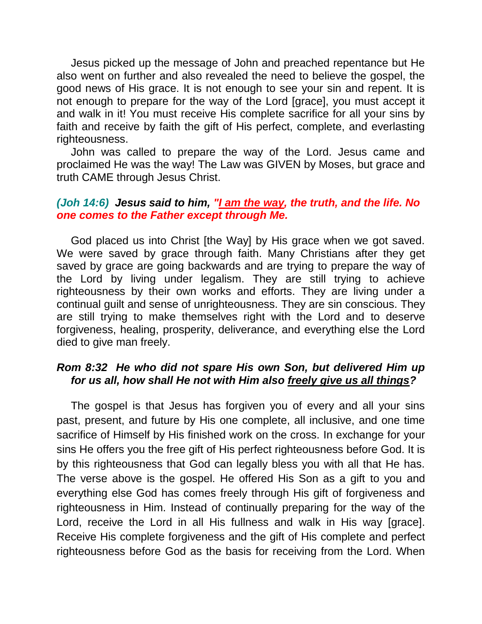Jesus picked up the message of John and preached repentance but He also went on further and also revealed the need to believe the gospel, the good news of His grace. It is not enough to see your sin and repent. It is not enough to prepare for the way of the Lord [grace], you must accept it and walk in it! You must receive His complete sacrifice for all your sins by faith and receive by faith the gift of His perfect, complete, and everlasting righteousness.

John was called to prepare the way of the Lord. Jesus came and proclaimed He was the way! The Law was GIVEN by Moses, but grace and truth CAME through Jesus Christ.

### *(Joh 14:6) Jesus said to him, "I am the way, the truth, and the life. No one comes to the Father except through Me.*

God placed us into Christ [the Way] by His grace when we got saved. We were saved by grace through faith. Many Christians after they get saved by grace are going backwards and are trying to prepare the way of the Lord by living under legalism. They are still trying to achieve righteousness by their own works and efforts. They are living under a continual guilt and sense of unrighteousness. They are sin conscious. They are still trying to make themselves right with the Lord and to deserve forgiveness, healing, prosperity, deliverance, and everything else the Lord died to give man freely.

# *Rom 8:32 He who did not spare His own Son, but delivered Him up for us all, how shall He not with Him also freely give us all things?*

The gospel is that Jesus has forgiven you of every and all your sins past, present, and future by His one complete, all inclusive, and one time sacrifice of Himself by His finished work on the cross. In exchange for your sins He offers you the free gift of His perfect righteousness before God. It is by this righteousness that God can legally bless you with all that He has. The verse above is the gospel. He offered His Son as a gift to you and everything else God has comes freely through His gift of forgiveness and righteousness in Him. Instead of continually preparing for the way of the Lord, receive the Lord in all His fullness and walk in His way [grace]. Receive His complete forgiveness and the gift of His complete and perfect righteousness before God as the basis for receiving from the Lord. When